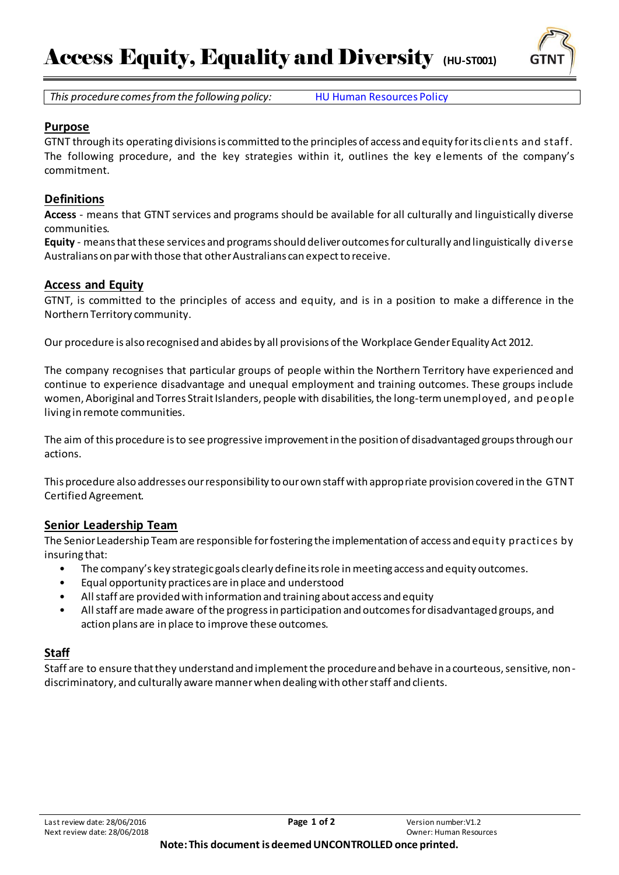

*This procedure comes from the following policy:* HU Human Resources Policy

### **Purpose**

GTNT through its operating divisions is committed to the principles of access and equity for its clients and staff. The following procedure, and the key strategies within it, outlines the key e lements of the company's commitment.

### **Definitions**

**Access** - means that GTNT services and programs should be available for all culturally and linguistically diverse communities.

**Equity** - means that these services and programs should deliver outcomes for culturally and linguistically diverse Australians on par with those that other Australians can expect to receive.

#### **Access and Equity**

GTNT, is committed to the principles of access and equity, and is in a position to make a difference in the Northern Territory community.

Our procedure is also recognised and abides by all provisions of the Workplace Gender Equality Act 2012.

The company recognises that particular groups of people within the Northern Territory have experienced and continue to experience disadvantage and unequal employment and training outcomes. These groups include women, Aboriginal and Torres Strait Islanders, people with disabilities, the long-term unemployed, and people living in remote communities.

The aim of this procedure is to see progressive improvement in the position of disadvantaged groups through our actions.

This procedure also addresses our responsibility to our own staff with appropriate provision covered in the GTNT Certified Agreement.

## **Senior Leadership Team**

The Senior Leadership Team are responsible for fostering the implementation of access and equity practices by insuring that:

- The company's key strategic goals clearly define its role in meeting access and equity outcomes.
- Equal opportunity practices are in place and understood
- All staff are provided with information and training about access and equity
- All staff are made aware of the progress in participation and outcomes for disadvantaged groups, and action plans are in place to improve these outcomes.

## **Staff**

Staff are to ensure that they understand and implement the procedure and behave in a courteous, sensitive, nondiscriminatory, and culturally aware manner when dealing with other staff and clients.